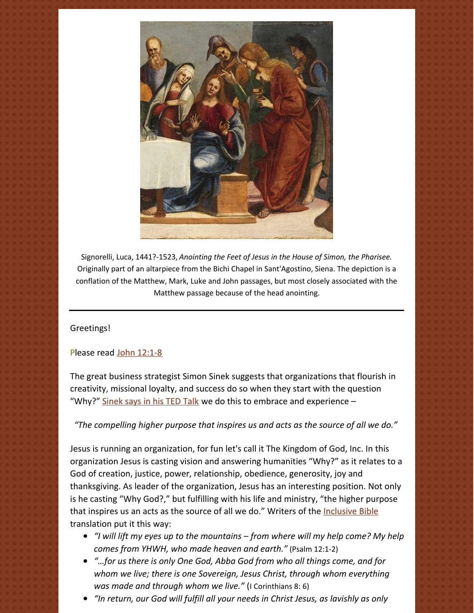

Signorelli, Luca, 1441?-1523, *Anointing the Feet of Jesus in the House of Simon, the Pharisee.* Originally part of an altarpiece from the Bichi Chapel in Sant'Agostino, Siena. The depiction is a conflation of the Matthew, Mark, Luke and John passages, but most closely associated with the Matthew passage because of the head anointing.

Greetings!

# Please read John [12:1-8](https://www.biblegateway.com/passage/?search=John+12%3A1-8&version=NRSV)

The great business strategist Simon Sinek suggests that organizations that flourish in creativity, missional loyalty, and success do so when they start with the question "Why?" [Sinek](https://www.ted.com/talks/simon_sinek_how_great_leaders_inspire_action?language=en) says in his TED Talk we do this to embrace and experience  $-$ 

*"The compelling higher purpose that inspires us and acts as the source of all we do."*

Jesus is running an organization, for fun let's call it The Kingdom of God, Inc. In this organization Jesus is casting vision and answering humanities "Why?" as it relates to a God of creation, justice, power, relationship, obedience, generosity, joy and thanksgiving. As leader of the organization, Jesus has an interesting position. Not only is he casting "Why God?," but fulfilling with his life and ministry, "the higher purpose that inspires us an acts as the source of all we do." Writers of the [Inclusive](https://www.cokesbury.com/9781580512138-The-Inclusive-Bible?refq=inclusive bible) Bible translation put it this way:

- *"I will lift my eyes up to the mountains – from where will my help come? My help comes from YHWH, who made heaven and earth."* (Psalm 12:1-2)
- *"…for us there is only One God, Abba God from who all things come, and for whom we live; there is one Sovereign, Jesus Christ, through whom everything was made and through whom we live."* (I Corinthians 8: 6)
- *"In return, our God will fulfill all your needs in Christ Jesus, as lavishly as only*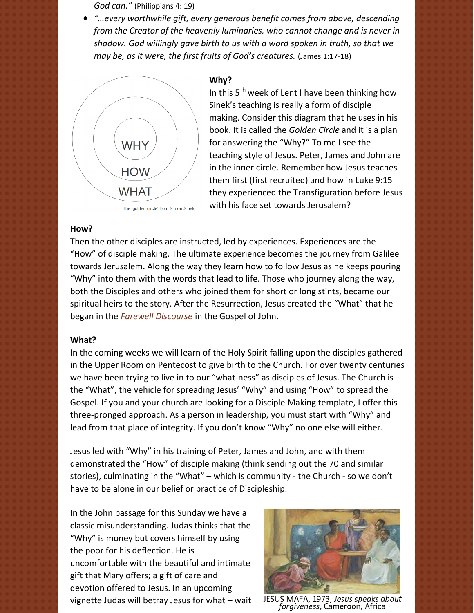*God can."* (Philippians 4: 19)

*"…every worthwhile gift, every generous benefit comes from above, descending from the Creator of the heavenly luminaries, who cannot change and is never in shadow. God willingly gave birth to us with a word spoken in truth, so that we may be, as it were, the first fruits of God's creatures.* (James 1:17-18)



The 'golden circle' from Simon Sinek

#### **Why?**

In this 5<sup>th</sup> week of Lent I have been thinking how Sinek's teaching is really a form of disciple making. Consider this diagram that he uses in his book. It is called the *Golden Circle* and it is a plan for answering the "Why?" To me I see the teaching style of Jesus. Peter, James and John are in the inner circle. Remember how Jesus teaches them first (first recruited) and how in Luke 9:15 they experienced the Transfiguration before Jesus with his face set towards Jerusalem?

### **How?**

Then the other disciples are instructed, led by experiences. Experiences are the "How" of disciple making. The ultimate experience becomes the journey from Galilee towards Jerusalem. Along the way they learn how to follow Jesus as he keeps pouring "Why" into them with the words that lead to life. Those who journey along the way, both the Disciples and others who joined them for short or long stints, became our spiritual heirs to the story. After the Resurrection, Jesus created the "What" that he began in the *Farewell [Discourse](https://www.biblegateway.com/passage/?search=John+14-17&version=NRSV)* in the Gospel of John.

### **What?**

In the coming weeks we will learn of the Holy Spirit falling upon the disciples gathered in the Upper Room on Pentecost to give birth to the Church. For over twenty centuries we have been trying to live in to our "what-ness" as disciples of Jesus. The Church is the "What", the vehicle for spreading Jesus' "Why" and using "How" to spread the Gospel. If you and your church are looking for a Disciple Making template, I offer this three-pronged approach. As a person in leadership, you must start with "Why" and lead from that place of integrity. If you don't know "Why" no one else will either.

Jesus led with "Why" in his training of Peter, James and John, and with them demonstrated the "How" of disciple making (think sending out the 70 and similar stories), culminating in the "What" – which is community - the Church - so we don't have to be alone in our belief or practice of Discipleship.

In the John passage for this Sunday we have a classic misunderstanding. Judas thinks that the "Why" is money but covers himself by using the poor for his deflection. He is uncomfortable with the beautiful and intimate gift that Mary offers; a gift of care and devotion offered to Jesus. In an upcoming vignette Judas will betray Jesus for what – wait



JESUS MAFA, 1973, Jesus speaks about forgiveness, Cameroon, Africa